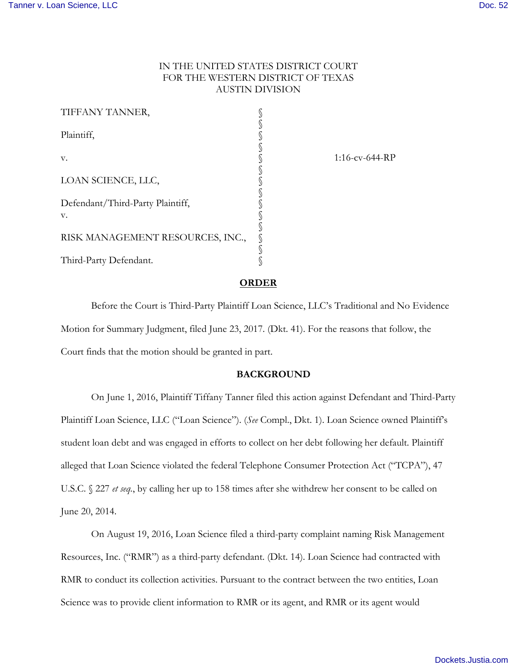# IN THE UNITED STATES DISTRICT COURT FOR THE WESTERN DISTRICT OF TEXAS AUSTIN DIVISION

| TIFFANY TANNER,                  |  |
|----------------------------------|--|
| Plaintiff,                       |  |
| V.                               |  |
| LOAN SCIENCE, LLC,               |  |
| Defendant/Third-Party Plaintiff, |  |
| V.                               |  |
| RISK MANAGEMENT RESOURCES, INC., |  |
| Third-Party Defendant.           |  |

1:16-cv-644-RP

#### **ORDER**

Before the Court is Third-Party Plaintiff Loan Science, LLC's Traditional and No Evidence Motion for Summary Judgment, filed June 23, 2017. (Dkt. 41). For the reasons that follow, the Court finds that the motion should be granted in part.

# **BACKGROUND**

On June 1, 2016, Plaintiff Tiffany Tanner filed this action against Defendant and Third-Party Plaintiff Loan Science, LLC ("Loan Science"). (*See* Compl., Dkt. 1). Loan Science owned Plaintiff's student loan debt and was engaged in efforts to collect on her debt following her default. Plaintiff alleged that Loan Science violated the federal Telephone Consumer Protection Act ("TCPA"), 47 U.S.C. § 227 *et seq.*, by calling her up to 158 times after she withdrew her consent to be called on June 20, 2014.

On August 19, 2016, Loan Science filed a third-party complaint naming Risk Management Resources, Inc. ("RMR") as a third-party defendant. (Dkt. 14). Loan Science had contracted with RMR to conduct its collection activities. Pursuant to the contract between the two entities, Loan Science was to provide client information to RMR or its agent, and RMR or its agent would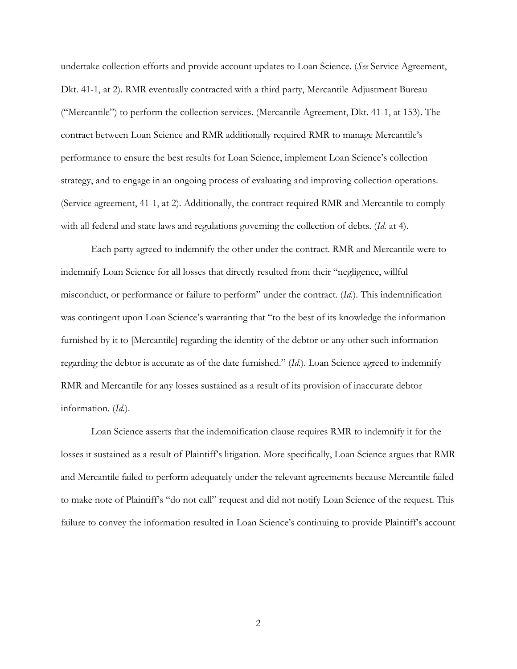undertake collection efforts and provide account updates to Loan Science. (*See* Service Agreement, Dkt. 41-1, at 2). RMR eventually contracted with a third party, Mercantile Adjustment Bureau ("Mercantile") to perform the collection services. (Mercantile Agreement, Dkt. 41-1, at 153). The contract between Loan Science and RMR additionally required RMR to manage Mercantile's performance to ensure the best results for Loan Science, implement Loan Science's collection strategy, and to engage in an ongoing process of evaluating and improving collection operations. (Service agreement, 41-1, at 2). Additionally, the contract required RMR and Mercantile to comply with all federal and state laws and regulations governing the collection of debts. (*Id.* at 4).

Each party agreed to indemnify the other under the contract. RMR and Mercantile were to indemnify Loan Science for all losses that directly resulted from their "negligence, willful misconduct, or performance or failure to perform" under the contract. (*Id.*). This indemnification was contingent upon Loan Science's warranting that "to the best of its knowledge the information furnished by it to [Mercantile] regarding the identity of the debtor or any other such information regarding the debtor is accurate as of the date furnished." (*Id.*). Loan Science agreed to indemnify RMR and Mercantile for any losses sustained as a result of its provision of inaccurate debtor information. (*Id.*).

Loan Science asserts that the indemnification clause requires RMR to indemnify it for the losses it sustained as a result of Plaintiff's litigation. More specifically, Loan Science argues that RMR and Mercantile failed to perform adequately under the relevant agreements because Mercantile failed to make note of Plaintiff's "do not call" request and did not notify Loan Science of the request. This failure to convey the information resulted in Loan Science's continuing to provide Plaintiff's account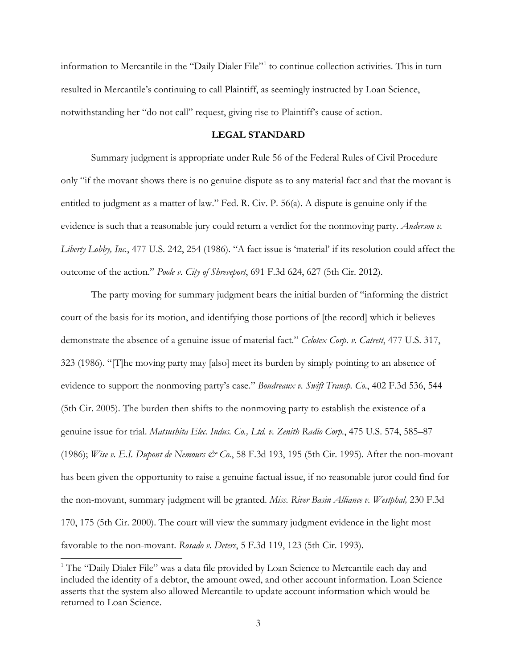information to Mercantile in the "Daily Dialer File"<sup>[1](#page-2-0)</sup> to continue collection activities. This in turn resulted in Mercantile's continuing to call Plaintiff, as seemingly instructed by Loan Science, notwithstanding her "do not call" request, giving rise to Plaintiff's cause of action.

# **LEGAL STANDARD**

Summary judgment is appropriate under Rule 56 of the Federal Rules of Civil Procedure only "if the movant shows there is no genuine dispute as to any material fact and that the movant is entitled to judgment as a matter of law." Fed. R. Civ. P. 56(a). A dispute is genuine only if the evidence is such that a reasonable jury could return a verdict for the nonmoving party. *Anderson v. Liberty Lobby, Inc.*, 477 U.S. 242, 254 (1986). "A fact issue is 'material' if its resolution could affect the outcome of the action." *Poole v. City of Shreveport*, 691 F.3d 624, 627 (5th Cir. 2012).

 The party moving for summary judgment bears the initial burden of "informing the district court of the basis for its motion, and identifying those portions of [the record] which it believes demonstrate the absence of a genuine issue of material fact." *Celotex Corp. v. Catrett*, 477 U.S. 317, 323 (1986). "[T]he moving party may [also] meet its burden by simply pointing to an absence of evidence to support the nonmoving party's case." *Boudreaux v. Swift Transp. Co*., 402 F.3d 536, 544 (5th Cir. 2005). The burden then shifts to the nonmoving party to establish the existence of a genuine issue for trial. *Matsushita Elec. Indus. Co., Ltd. v. Zenith Radio Corp.*, 475 U.S. 574, 585–87 (1986); *Wise v. E.I. Dupont de Nemours & Co.*, 58 F.3d 193, 195 (5th Cir. 1995). After the non-movant has been given the opportunity to raise a genuine factual issue, if no reasonable juror could find for the non-movant, summary judgment will be granted. *Miss. River Basin Alliance v. Westphal,* 230 F.3d 170, 175 (5th Cir. 2000). The court will view the summary judgment evidence in the light most favorable to the non-movant. *Rosado v. Deters*, 5 F.3d 119, 123 (5th Cir. 1993).

-

<span id="page-2-0"></span><sup>&</sup>lt;sup>1</sup> The "Daily Dialer File" was a data file provided by Loan Science to Mercantile each day and included the identity of a debtor, the amount owed, and other account information. Loan Science asserts that the system also allowed Mercantile to update account information which would be returned to Loan Science.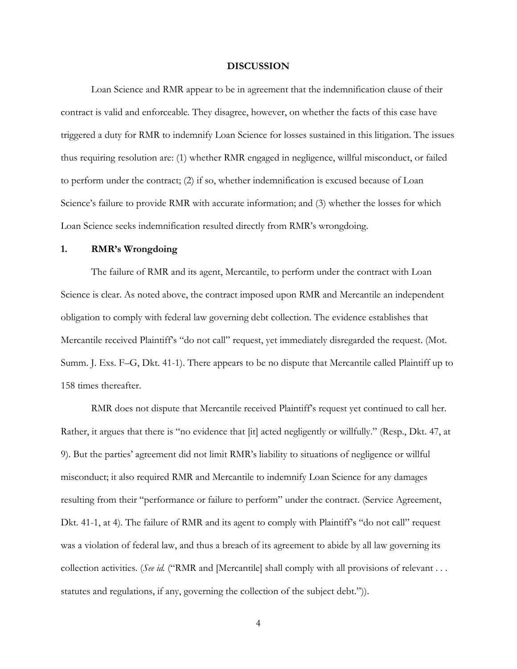# **DISCUSSION**

 Loan Science and RMR appear to be in agreement that the indemnification clause of their contract is valid and enforceable. They disagree, however, on whether the facts of this case have triggered a duty for RMR to indemnify Loan Science for losses sustained in this litigation. The issues thus requiring resolution are: (1) whether RMR engaged in negligence, willful misconduct, or failed to perform under the contract; (2) if so, whether indemnification is excused because of Loan Science's failure to provide RMR with accurate information; and (3) whether the losses for which Loan Science seeks indemnification resulted directly from RMR's wrongdoing.

#### **1. RMR's Wrongdoing**

The failure of RMR and its agent, Mercantile, to perform under the contract with Loan Science is clear. As noted above, the contract imposed upon RMR and Mercantile an independent obligation to comply with federal law governing debt collection. The evidence establishes that Mercantile received Plaintiff's "do not call" request, yet immediately disregarded the request. (Mot. Summ. J. Exs. F–G, Dkt. 41-1). There appears to be no dispute that Mercantile called Plaintiff up to 158 times thereafter.

RMR does not dispute that Mercantile received Plaintiff's request yet continued to call her. Rather, it argues that there is "no evidence that [it] acted negligently or willfully." (Resp., Dkt. 47, at 9). But the parties' agreement did not limit RMR's liability to situations of negligence or willful misconduct; it also required RMR and Mercantile to indemnify Loan Science for any damages resulting from their "performance or failure to perform" under the contract. (Service Agreement, Dkt. 41-1, at 4). The failure of RMR and its agent to comply with Plaintiff's "do not call" request was a violation of federal law, and thus a breach of its agreement to abide by all law governing its collection activities. (*See id.* ("RMR and [Mercantile] shall comply with all provisions of relevant . . . statutes and regulations, if any, governing the collection of the subject debt.").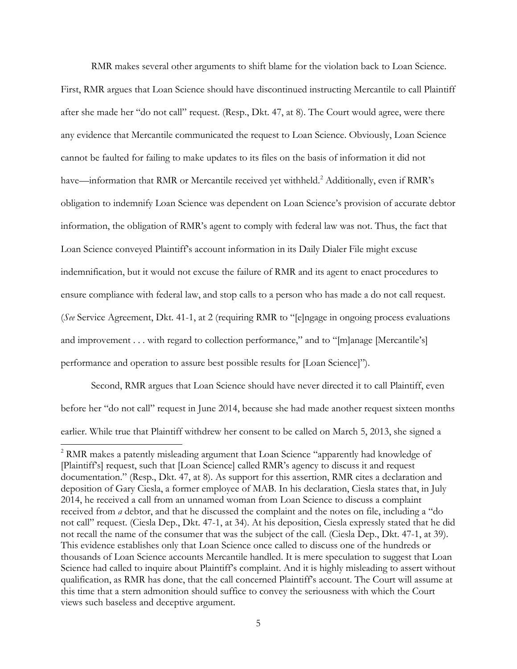RMR makes several other arguments to shift blame for the violation back to Loan Science. First, RMR argues that Loan Science should have discontinued instructing Mercantile to call Plaintiff after she made her "do not call" request. (Resp., Dkt. 47, at 8). The Court would agree, were there any evidence that Mercantile communicated the request to Loan Science. Obviously, Loan Science cannot be faulted for failing to make updates to its files on the basis of information it did not have—information that RMR or Mercantile received yet withheld.<sup>[2](#page-4-0)</sup> Additionally, even if RMR's obligation to indemnify Loan Science was dependent on Loan Science's provision of accurate debtor information, the obligation of RMR's agent to comply with federal law was not. Thus, the fact that Loan Science conveyed Plaintiff's account information in its Daily Dialer File might excuse indemnification, but it would not excuse the failure of RMR and its agent to enact procedures to ensure compliance with federal law, and stop calls to a person who has made a do not call request. (*See* Service Agreement, Dkt. 41-1, at 2 (requiring RMR to "[e]ngage in ongoing process evaluations and improvement . . . with regard to collection performance," and to "[m]anage [Mercantile's] performance and operation to assure best possible results for [Loan Science]").

Second, RMR argues that Loan Science should have never directed it to call Plaintiff, even before her "do not call" request in June 2014, because she had made another request sixteen months earlier. While true that Plaintiff withdrew her consent to be called on March 5, 2013, she signed a

 $\overline{a}$ 

<span id="page-4-0"></span><sup>&</sup>lt;sup>2</sup> RMR makes a patently misleading argument that Loan Science "apparently had knowledge of [Plaintiff's] request, such that [Loan Science] called RMR's agency to discuss it and request documentation." (Resp., Dkt. 47, at 8). As support for this assertion, RMR cites a declaration and deposition of Gary Ciesla, a former employee of MAB. In his declaration, Ciesla states that, in July 2014, he received a call from an unnamed woman from Loan Science to discuss a complaint received from *a* debtor, and that he discussed the complaint and the notes on file, including a "do not call" request. (Ciesla Dep., Dkt. 47-1, at 34). At his deposition, Ciesla expressly stated that he did not recall the name of the consumer that was the subject of the call. (Ciesla Dep., Dkt. 47-1, at 39). This evidence establishes only that Loan Science once called to discuss one of the hundreds or thousands of Loan Science accounts Mercantile handled. It is mere speculation to suggest that Loan Science had called to inquire about Plaintiff's complaint. And it is highly misleading to assert without qualification, as RMR has done, that the call concerned Plaintiff's account. The Court will assume at this time that a stern admonition should suffice to convey the seriousness with which the Court views such baseless and deceptive argument.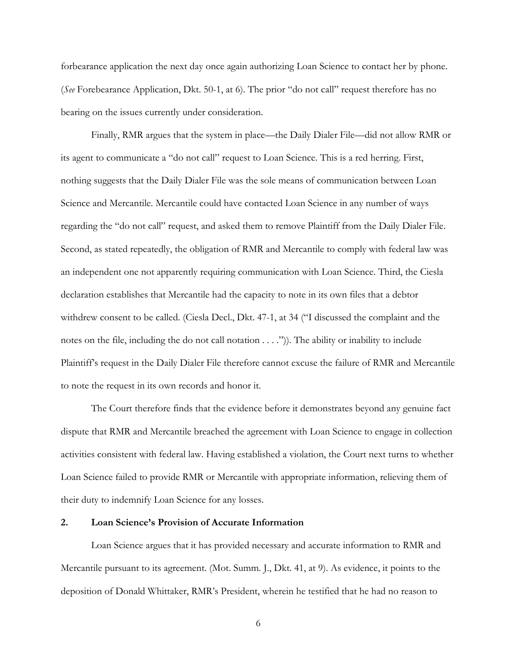forbearance application the next day once again authorizing Loan Science to contact her by phone. (*See* Forebearance Application, Dkt. 50-1, at 6). The prior "do not call" request therefore has no bearing on the issues currently under consideration.

Finally, RMR argues that the system in place—the Daily Dialer File—did not allow RMR or its agent to communicate a "do not call" request to Loan Science. This is a red herring. First, nothing suggests that the Daily Dialer File was the sole means of communication between Loan Science and Mercantile. Mercantile could have contacted Loan Science in any number of ways regarding the "do not call" request, and asked them to remove Plaintiff from the Daily Dialer File. Second, as stated repeatedly, the obligation of RMR and Mercantile to comply with federal law was an independent one not apparently requiring communication with Loan Science. Third, the Ciesla declaration establishes that Mercantile had the capacity to note in its own files that a debtor withdrew consent to be called. (Ciesla Decl., Dkt. 47-1, at 34 ("I discussed the complaint and the notes on the file, including the do not call notation . . . .")). The ability or inability to include Plaintiff's request in the Daily Dialer File therefore cannot excuse the failure of RMR and Mercantile to note the request in its own records and honor it.

 The Court therefore finds that the evidence before it demonstrates beyond any genuine fact dispute that RMR and Mercantile breached the agreement with Loan Science to engage in collection activities consistent with federal law. Having established a violation, the Court next turns to whether Loan Science failed to provide RMR or Mercantile with appropriate information, relieving them of their duty to indemnify Loan Science for any losses.

# **2. Loan Science's Provision of Accurate Information**

Loan Science argues that it has provided necessary and accurate information to RMR and Mercantile pursuant to its agreement. (Mot. Summ. J., Dkt. 41, at 9). As evidence, it points to the deposition of Donald Whittaker, RMR's President, wherein he testified that he had no reason to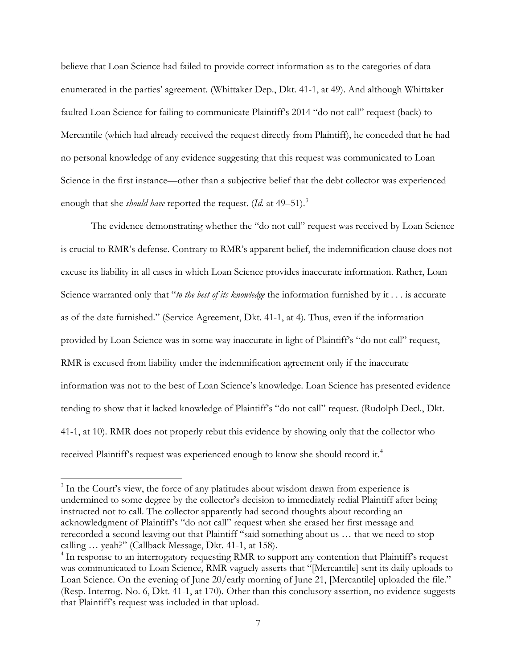believe that Loan Science had failed to provide correct information as to the categories of data enumerated in the parties' agreement. (Whittaker Dep., Dkt. 41-1, at 49). And although Whittaker faulted Loan Science for failing to communicate Plaintiff's 2014 "do not call" request (back) to Mercantile (which had already received the request directly from Plaintiff), he conceded that he had no personal knowledge of any evidence suggesting that this request was communicated to Loan Science in the first instance—other than a subjective belief that the debt collector was experienced enough that she *should have* reported the request. (Id. at 49-51).<sup>[3](#page-6-0)</sup>

The evidence demonstrating whether the "do not call" request was received by Loan Science is crucial to RMR's defense. Contrary to RMR's apparent belief, the indemnification clause does not excuse its liability in all cases in which Loan Science provides inaccurate information. Rather, Loan Science warranted only that "*to the best of its knowledge* the information furnished by it . . . is accurate as of the date furnished." (Service Agreement, Dkt. 41-1, at 4). Thus, even if the information provided by Loan Science was in some way inaccurate in light of Plaintiff's "do not call" request, RMR is excused from liability under the indemnification agreement only if the inaccurate information was not to the best of Loan Science's knowledge. Loan Science has presented evidence tending to show that it lacked knowledge of Plaintiff's "do not call" request. (Rudolph Decl., Dkt. 41-1, at 10). RMR does not properly rebut this evidence by showing only that the collector who received Plaintiff's request was experienced enough to know she should record it.<sup>[4](#page-6-1)</sup>

-

<span id="page-6-0"></span><sup>&</sup>lt;sup>3</sup> In the Court's view, the force of any platitudes about wisdom drawn from experience is undermined to some degree by the collector's decision to immediately redial Plaintiff after being instructed not to call. The collector apparently had second thoughts about recording an acknowledgment of Plaintiff's "do not call" request when she erased her first message and rerecorded a second leaving out that Plaintiff "said something about us … that we need to stop calling … yeah?" (Callback Message, Dkt. 41-1, at 158).

<span id="page-6-1"></span><sup>&</sup>lt;sup>4</sup> In response to an interrogatory requesting RMR to support any contention that Plaintiff's request was communicated to Loan Science, RMR vaguely asserts that "[Mercantile] sent its daily uploads to Loan Science. On the evening of June 20/early morning of June 21, [Mercantile] uploaded the file." (Resp. Interrog. No. 6, Dkt. 41-1, at 170). Other than this conclusory assertion, no evidence suggests that Plaintiff's request was included in that upload.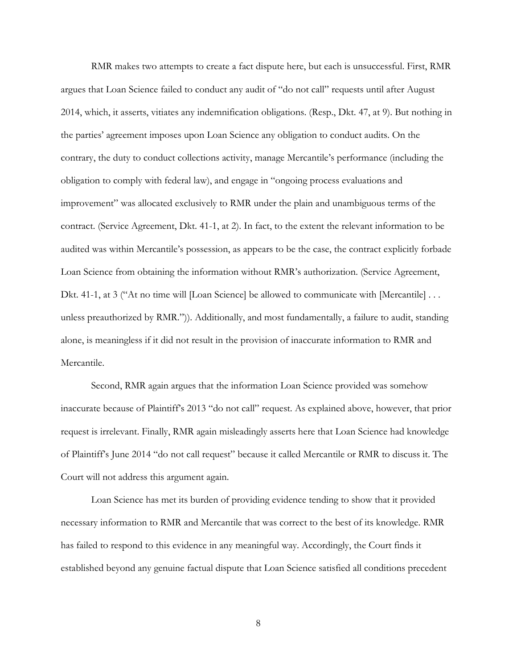RMR makes two attempts to create a fact dispute here, but each is unsuccessful. First, RMR argues that Loan Science failed to conduct any audit of "do not call" requests until after August 2014, which, it asserts, vitiates any indemnification obligations. (Resp., Dkt. 47, at 9). But nothing in the parties' agreement imposes upon Loan Science any obligation to conduct audits. On the contrary, the duty to conduct collections activity, manage Mercantile's performance (including the obligation to comply with federal law), and engage in "ongoing process evaluations and improvement" was allocated exclusively to RMR under the plain and unambiguous terms of the contract. (Service Agreement, Dkt. 41-1, at 2). In fact, to the extent the relevant information to be audited was within Mercantile's possession, as appears to be the case, the contract explicitly forbade Loan Science from obtaining the information without RMR's authorization. (Service Agreement, Dkt. 41-1, at 3 ("At no time will [Loan Science] be allowed to communicate with [Mercantile] . . . unless preauthorized by RMR.")). Additionally, and most fundamentally, a failure to audit, standing alone, is meaningless if it did not result in the provision of inaccurate information to RMR and Mercantile.

 Second, RMR again argues that the information Loan Science provided was somehow inaccurate because of Plaintiff's 2013 "do not call" request. As explained above, however, that prior request is irrelevant. Finally, RMR again misleadingly asserts here that Loan Science had knowledge of Plaintiff's June 2014 "do not call request" because it called Mercantile or RMR to discuss it. The Court will not address this argument again.

 Loan Science has met its burden of providing evidence tending to show that it provided necessary information to RMR and Mercantile that was correct to the best of its knowledge. RMR has failed to respond to this evidence in any meaningful way. Accordingly, the Court finds it established beyond any genuine factual dispute that Loan Science satisfied all conditions precedent

8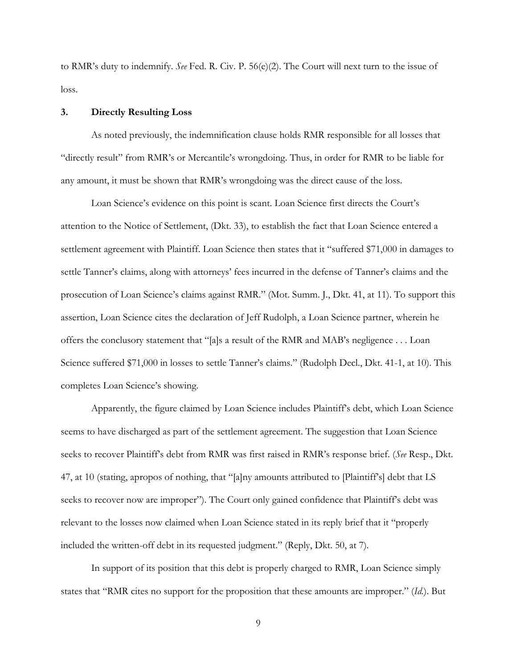to RMR's duty to indemnify. *See* Fed. R. Civ. P. 56(e)(2). The Court will next turn to the issue of loss.

# **3. Directly Resulting Loss**

 As noted previously, the indemnification clause holds RMR responsible for all losses that "directly result" from RMR's or Mercantile's wrongdoing. Thus, in order for RMR to be liable for any amount, it must be shown that RMR's wrongdoing was the direct cause of the loss.

Loan Science's evidence on this point is scant. Loan Science first directs the Court's attention to the Notice of Settlement, (Dkt. 33), to establish the fact that Loan Science entered a settlement agreement with Plaintiff. Loan Science then states that it "suffered \$71,000 in damages to settle Tanner's claims, along with attorneys' fees incurred in the defense of Tanner's claims and the prosecution of Loan Science's claims against RMR." (Mot. Summ. J., Dkt. 41, at 11). To support this assertion, Loan Science cites the declaration of Jeff Rudolph, a Loan Science partner, wherein he offers the conclusory statement that "[a]s a result of the RMR and MAB's negligence . . . Loan Science suffered \$71,000 in losses to settle Tanner's claims." (Rudolph Decl., Dkt. 41-1, at 10). This completes Loan Science's showing.

Apparently, the figure claimed by Loan Science includes Plaintiff's debt, which Loan Science seems to have discharged as part of the settlement agreement. The suggestion that Loan Science seeks to recover Plaintiff's debt from RMR was first raised in RMR's response brief. (*See* Resp., Dkt. 47, at 10 (stating, apropos of nothing, that "[a]ny amounts attributed to [Plaintiff's] debt that LS seeks to recover now are improper"). The Court only gained confidence that Plaintiff's debt was relevant to the losses now claimed when Loan Science stated in its reply brief that it "properly included the written-off debt in its requested judgment." (Reply, Dkt. 50, at 7).

 In support of its position that this debt is properly charged to RMR, Loan Science simply states that "RMR cites no support for the proposition that these amounts are improper." (*Id.*). But

9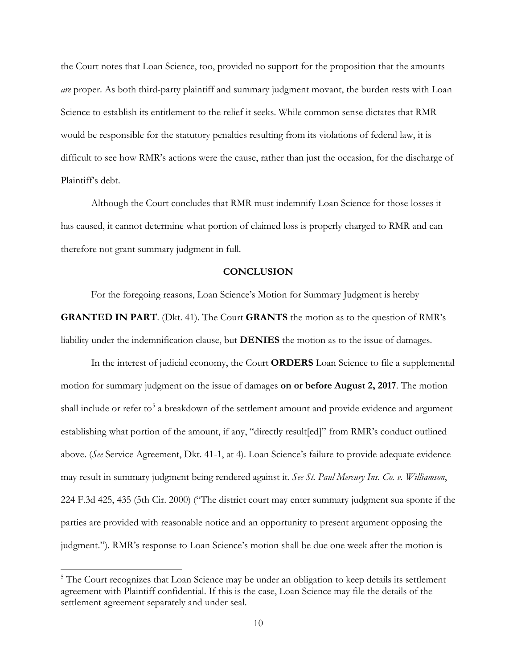the Court notes that Loan Science, too, provided no support for the proposition that the amounts *are* proper. As both third-party plaintiff and summary judgment movant, the burden rests with Loan Science to establish its entitlement to the relief it seeks. While common sense dictates that RMR would be responsible for the statutory penalties resulting from its violations of federal law, it is difficult to see how RMR's actions were the cause, rather than just the occasion, for the discharge of Plaintiff's debt.

 Although the Court concludes that RMR must indemnify Loan Science for those losses it has caused, it cannot determine what portion of claimed loss is properly charged to RMR and can therefore not grant summary judgment in full.

# **CONCLUSION**

 For the foregoing reasons, Loan Science's Motion for Summary Judgment is hereby **GRANTED IN PART**. (Dkt. 41). The Court **GRANTS** the motion as to the question of RMR's liability under the indemnification clause, but **DENIES** the motion as to the issue of damages.

 In the interest of judicial economy, the Court **ORDERS** Loan Science to file a supplemental motion for summary judgment on the issue of damages **on or before August 2, 2017**. The motion shall include or refer to<sup>[5](#page-9-0)</sup> a breakdown of the settlement amount and provide evidence and argument establishing what portion of the amount, if any, "directly result[ed]" from RMR's conduct outlined above. (*See* Service Agreement, Dkt. 41-1, at 4). Loan Science's failure to provide adequate evidence may result in summary judgment being rendered against it. *See St. Paul Mercury Ins. Co. v. Williamson*, 224 F.3d 425, 435 (5th Cir. 2000) ("The district court may enter summary judgment sua sponte if the parties are provided with reasonable notice and an opportunity to present argument opposing the judgment."). RMR's response to Loan Science's motion shall be due one week after the motion is

-

<span id="page-9-0"></span><sup>&</sup>lt;sup>5</sup> The Court recognizes that Loan Science may be under an obligation to keep details its settlement agreement with Plaintiff confidential. If this is the case, Loan Science may file the details of the settlement agreement separately and under seal.